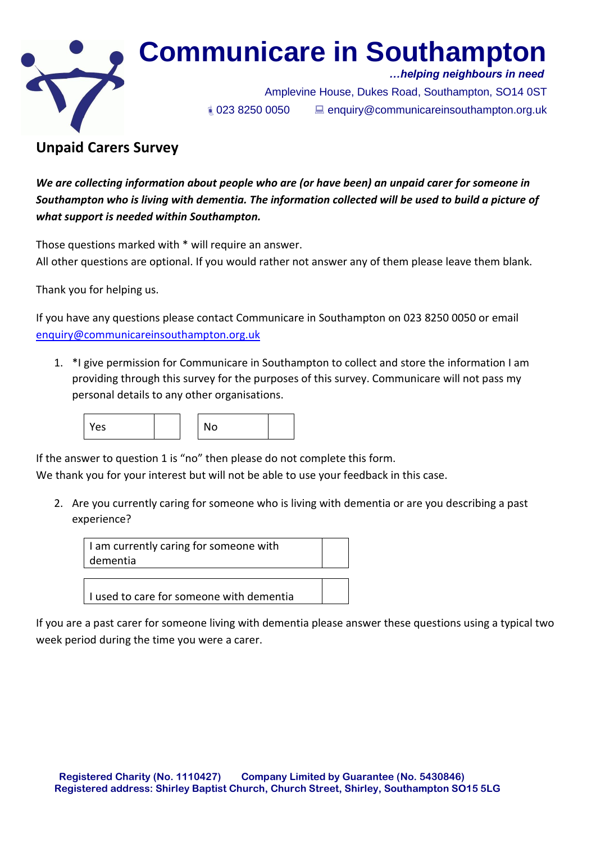

# **Communicare in Southampton**

 *…helping neighbours in need*

 Amplevine House, Dukes Road, Southampton, SO14 0ST 023 8250 0050 enquiry@communicareinsouthampton.org.uk

# **Unpaid Carers Survey**

*We are collecting information about people who are (or have been) an unpaid carer for someone in Southampton who is living with dementia. The information collected will be used to build a picture of what support is needed within Southampton.*

Those questions marked with \* will require an answer.

All other questions are optional. If you would rather not answer any of them please leave them blank.

Thank you for helping us.

If you have any questions please contact Communicare in Southampton on 023 8250 0050 or email [enquiry@communicareinsouthampton.org.uk](mailto:enquiry@communicareinsouthampton.org.uk)

1. \*I give permission for Communicare in Southampton to collect and store the information I am providing through this survey for the purposes of this survey. Communicare will not pass my personal details to any other organisations.



If the answer to question 1 is "no" then please do not complete this form.

We thank you for your interest but will not be able to use your feedback in this case.

2. Are you currently caring for someone who is living with dementia or are you describing a past experience?



If you are a past carer for someone living with dementia please answer these questions using a typical two week period during the time you were a carer.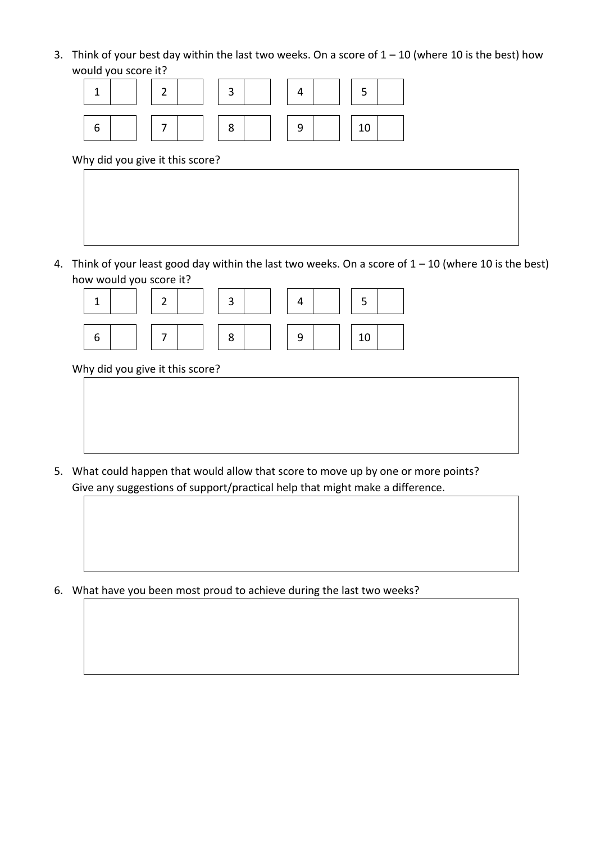3. Think of your best day within the last two weeks. On a score of  $1 - 10$  (where 10 is the best) how would you score it?



Why did you give it this score?

4. Think of your least good day within the last two weeks. On a score of  $1 - 10$  (where 10 is the best)



Why did you give it this score?

5. What could happen that would allow that score to move up by one or more points? Give any suggestions of support/practical help that might make a difference.

6. What have you been most proud to achieve during the last two weeks?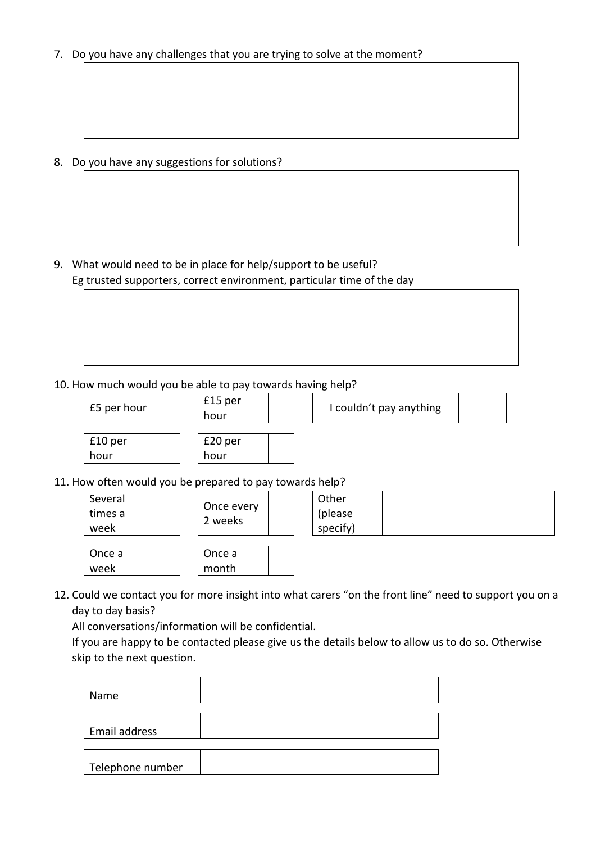7. Do you have any challenges that you are trying to solve at the moment?

8. Do you have any suggestions for solutions?

9. What would need to be in place for help/support to be useful? Eg trusted supporters, correct environment, particular time of the day

## 10. How much would you be able to pay towards having help?



11. How often would you be prepared to pay towards help?

| Several<br>times a<br>week | Once every<br>2 weeks | Other<br>(please<br>specify) |  |
|----------------------------|-----------------------|------------------------------|--|
| Once a<br>week             | Once a<br>month       |                              |  |

12. Could we contact you for more insight into what carers "on the front line" need to support you on a day to day basis?

All conversations/information will be confidential.

If you are happy to be contacted please give us the details below to allow us to do so. Otherwise skip to the next question.

| Name             |  |
|------------------|--|
| Email address    |  |
| Telephone number |  |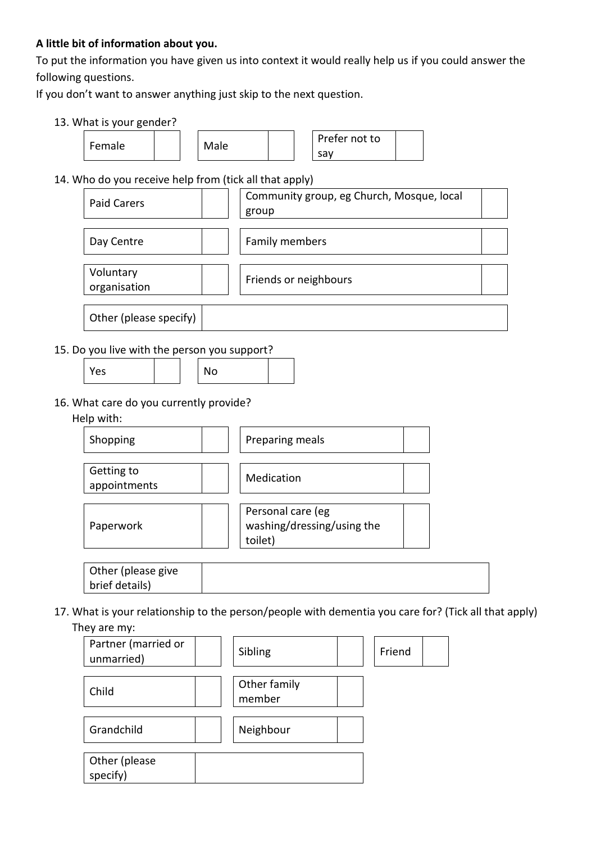#### **A little bit of information about you.**

To put the information you have given us into context it would really help us if you could answer the following questions.

If you don't want to answer anything just skip to the next question.

#### 13. What is your gender?



#### 14. Who do you receive help from (tick all that apply)

| <b>Paid Carers</b>        | Community group, eg Church, Mosque, local<br>group |  |
|---------------------------|----------------------------------------------------|--|
| Day Centre                | Family members                                     |  |
| Voluntary<br>organisation | Friends or neighbours                              |  |
| Other (please specify)    |                                                    |  |

#### 15. Do you live with the person you support?

| Yes | $\cdot$ . $\sim$ |
|-----|------------------|
|-----|------------------|

#### 16. What care do you currently provide?

#### Help with:



| brief details) |  |  |
|----------------|--|--|

17. What is your relationship to the person/people with dementia you care for? (Tick all that apply) They are my:

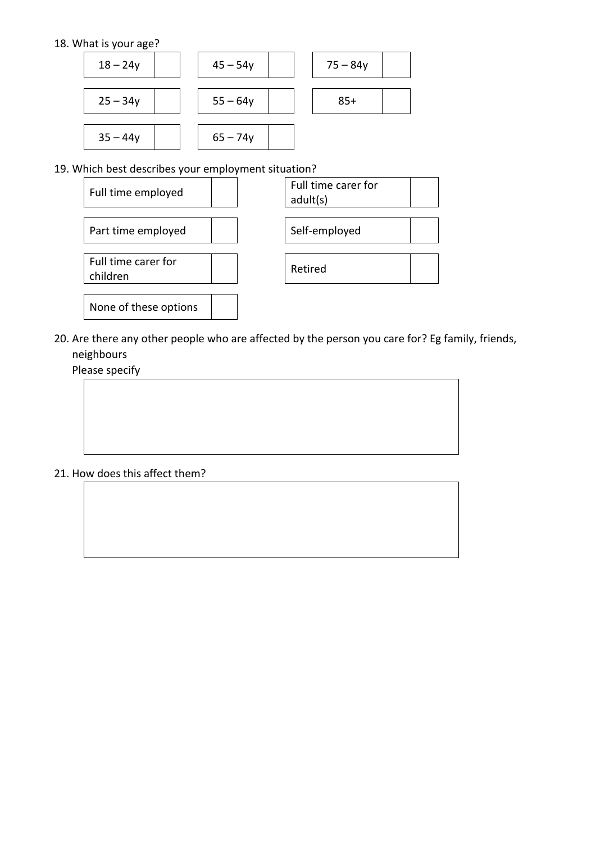#### 18. What is your age?



19. Which best describes your employment situation?



20. Are there any other people who are affected by the person you care for? Eg family, friends, neighbours

Please specify

#### 21. How does this affect them?